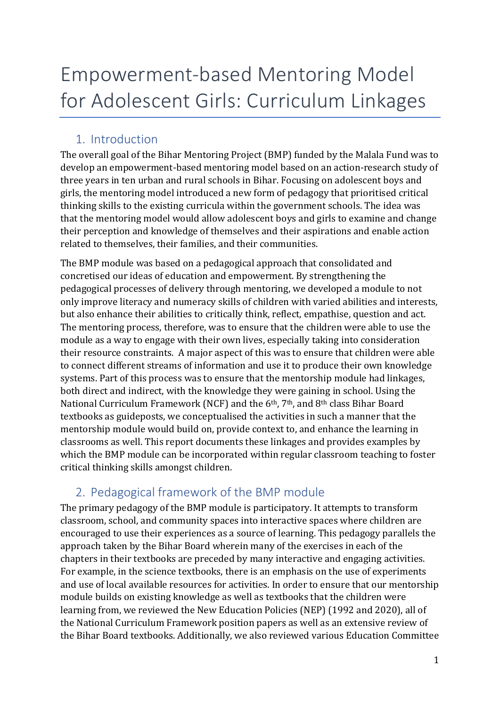# Empowerment-based Mentoring Model for Adolescent Girls: Curriculum Linkages

# 1. Introduction

The overall goal of the Bihar Mentoring Project (BMP) funded by the Malala Fund was to develop an empowerment-based mentoring model based on an action-research study of three years in ten urban and rural schools in Bihar. Focusing on adolescent boys and girls, the mentoring model introduced a new form of pedagogy that prioritised critical thinking skills to the existing curricula within the government schools. The idea was that the mentoring model would allow adolescent boys and girls to examine and change their perception and knowledge of themselves and their aspirations and enable action related to themselves, their families, and their communities.

The BMP module was based on a pedagogical approach that consolidated and concretised our ideas of education and empowerment. By strengthening the pedagogical processes of delivery through mentoring, we developed a module to not only improve literacy and numeracy skills of children with varied abilities and interests, but also enhance their abilities to critically think, reflect, empathise, question and act. The mentoring process, therefore, was to ensure that the children were able to use the module as a way to engage with their own lives, especially taking into consideration their resource constraints. A major aspect of this was to ensure that children were able to connect different streams of information and use it to produce their own knowledge systems. Part of this process was to ensure that the mentorship module had linkages, both direct and indirect, with the knowledge they were gaining in school. Using the National Curriculum Framework (NCF) and the 6<sup>th</sup>, 7<sup>th</sup>, and 8<sup>th</sup> class Bihar Board textbooks as guideposts, we conceptualised the activities in such a manner that the mentorship module would build on, provide context to, and enhance the learning in classrooms as well. This report documents these linkages and provides examples by which the BMP module can be incorporated within regular classroom teaching to foster critical thinking skills amongst children.

# 2. Pedagogical framework of the BMP module

The primary pedagogy of the BMP module is participatory. It attempts to transform classroom, school, and community spaces into interactive spaces where children are encouraged to use their experiences as a source of learning. This pedagogy parallels the approach taken by the Bihar Board wherein many of the exercises in each of the chapters in their textbooks are preceded by many interactive and engaging activities. For example, in the science textbooks, there is an emphasis on the use of experiments and use of local available resources for activities. In order to ensure that our mentorship module builds on existing knowledge as well as textbooks that the children were learning from, we reviewed the New Education Policies (NEP) (1992 and 2020), all of the National Curriculum Framework position papers as well as an extensive review of the Bihar Board textbooks. Additionally, we also reviewed various Education Committee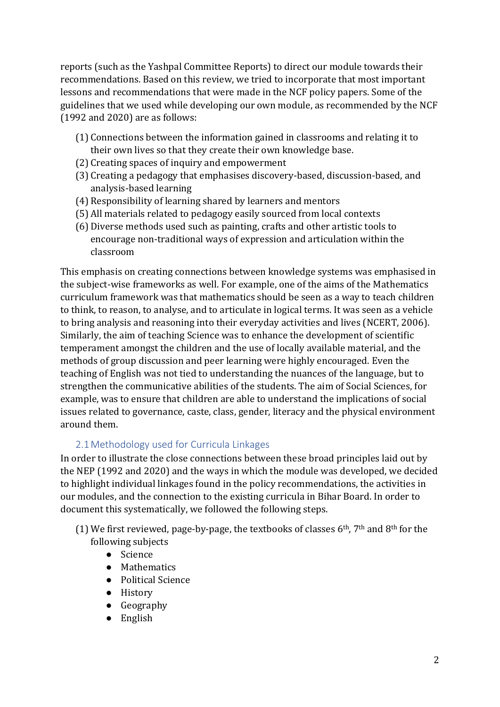reports (such as the Yashpal Committee Reports) to direct our module towards their recommendations. Based on this review, we tried to incorporate that most important lessons and recommendations that were made in the NCF policy papers. Some of the guidelines that we used while developing our own module, as recommended by the NCF (1992 and 2020) are as follows:

- (1) Connections between the information gained in classrooms and relating it to their own lives so that they create their own knowledge base.
- (2) Creating spaces of inquiry and empowerment
- (3) Creating a pedagogy that emphasises discovery-based, discussion-based, and analysis-based learning
- (4) Responsibility of learning shared by learners and mentors
- (5) All materials related to pedagogy easily sourced from local contexts
- (6) Diverse methods used such as painting, crafts and other artistic tools to encourage non-traditional ways of expression and articulation within the classroom

This emphasis on creating connections between knowledge systems was emphasised in the subject-wise frameworks as well. For example, one of the aims of the Mathematics curriculum framework was that mathematics should be seen as a way to teach children to think, to reason, to analyse, and to articulate in logical terms. It was seen as a vehicle to bring analysis and reasoning into their everyday activities and lives (NCERT, 2006). Similarly, the aim of teaching Science was to enhance the development of scientific temperament amongst the children and the use of locally available material, and the methods of group discussion and peer learning were highly encouraged. Even the teaching of English was not tied to understanding the nuances of the language, but to strengthen the communicative abilities of the students. The aim of Social Sciences, for example, was to ensure that children are able to understand the implications of social issues related to governance, caste, class, gender, literacy and the physical environment around them.

# 2.1Methodology used for Curricula Linkages

In order to illustrate the close connections between these broad principles laid out by the NEP (1992 and 2020) and the ways in which the module was developed, we decided to highlight individual linkages found in the policy recommendations, the activities in our modules, and the connection to the existing curricula in Bihar Board. In order to document this systematically, we followed the following steps.

- (1) We first reviewed, page-by-page, the textbooks of classes  $6<sup>th</sup>$ ,  $7<sup>th</sup>$  and  $8<sup>th</sup>$  for the following subjects
	- Science
	- Mathematics
	- Political Science
	- History
	- Geography
	- English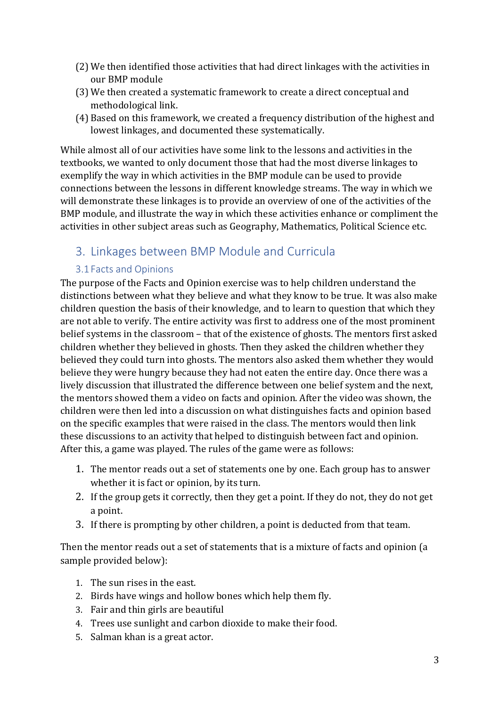- (2) We then identified those activities that had direct linkages with the activities in our BMP module
- (3) We then created a systematic framework to create a direct conceptual and methodological link.
- (4) Based on this framework, we created a frequency distribution of the highest and lowest linkages, and documented these systematically.

While almost all of our activities have some link to the lessons and activities in the textbooks, we wanted to only document those that had the most diverse linkages to exemplify the way in which activities in the BMP module can be used to provide connections between the lessons in different knowledge streams. The way in which we will demonstrate these linkages is to provide an overview of one of the activities of the BMP module, and illustrate the way in which these activities enhance or compliment the activities in other subject areas such as Geography, Mathematics, Political Science etc.

# 3. Linkages between BMP Module and Curricula

# 3.1 Facts and Opinions

The purpose of the Facts and Opinion exercise was to help children understand the distinctions between what they believe and what they know to be true. It was also make children question the basis of their knowledge, and to learn to question that which they are not able to verify. The entire activity was first to address one of the most prominent belief systems in the classroom – that of the existence of ghosts. The mentors first asked children whether they believed in ghosts. Then they asked the children whether they believed they could turn into ghosts. The mentors also asked them whether they would believe they were hungry because they had not eaten the entire day. Once there was a lively discussion that illustrated the difference between one belief system and the next, the mentors showed them a video on facts and opinion. After the video was shown, the children were then led into a discussion on what distinguishes facts and opinion based on the specific examples that were raised in the class. The mentors would then link these discussions to an activity that helped to distinguish between fact and opinion. After this, a game was played. The rules of the game were as follows:

- 1. The mentor reads out a set of statements one by one. Each group has to answer whether it is fact or opinion, by its turn.
- 2. If the group gets it correctly, then they get a point. If they do not, they do not get a point.
- 3. If there is prompting by other children, a point is deducted from that team.

Then the mentor reads out a set of statements that is a mixture of facts and opinion (a sample provided below):

- 1. The sun rises in the east.
- 2. Birds have wings and hollow bones which help them fly.
- 3. Fair and thin girls are beautiful
- 4. Trees use sunlight and carbon dioxide to make their food.
- 5. Salman khan is a great actor.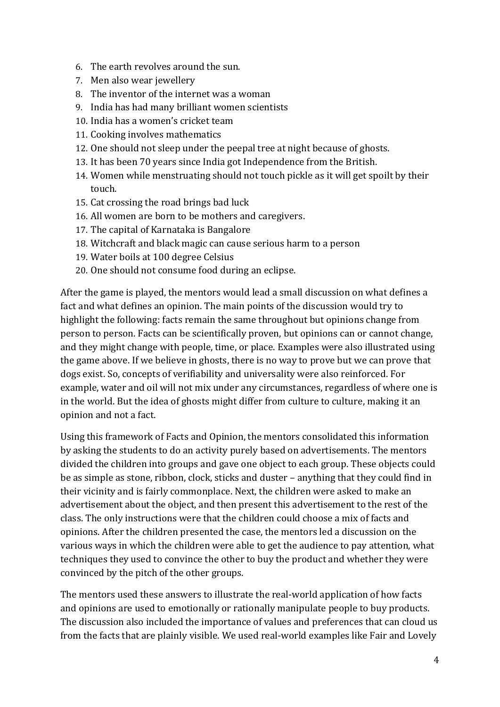- 6. The earth revolves around the sun.
- 7. Men also wear jewellery
- 8. The inventor of the internet was a woman
- 9. India has had many brilliant women scientists
- 10. India has a women's cricket team
- 11. Cooking involves mathematics
- 12. One should not sleep under the peepal tree at night because of ghosts.
- 13. It has been 70 years since India got Independence from the British.
- 14. Women while menstruating should not touch pickle as it will get spoilt by their touch.
- 15. Cat crossing the road brings bad luck
- 16. All women are born to be mothers and caregivers.
- 17. The capital of Karnataka is Bangalore
- 18. Witchcraft and black magic can cause serious harm to a person
- 19. Water boils at 100 degree Celsius
- 20. One should not consume food during an eclipse.

After the game is played, the mentors would lead a small discussion on what defines a fact and what defines an opinion. The main points of the discussion would try to highlight the following: facts remain the same throughout but opinions change from person to person. Facts can be scientifically proven, but opinions can or cannot change, and they might change with people, time, or place. Examples were also illustrated using the game above. If we believe in ghosts, there is no way to prove but we can prove that dogs exist. So, concepts of verifiability and universality were also reinforced. For example, water and oil will not mix under any circumstances, regardless of where one is in the world. But the idea of ghosts might differ from culture to culture, making it an opinion and not a fact.

Using this framework of Facts and Opinion, the mentors consolidated this information by asking the students to do an activity purely based on advertisements. The mentors divided the children into groups and gave one object to each group. These objects could be as simple as stone, ribbon, clock, sticks and duster – anything that they could find in their vicinity and is fairly commonplace. Next, the children were asked to make an advertisement about the object, and then present this advertisement to the rest of the class. The only instructions were that the children could choose a mix of facts and opinions. After the children presented the case, the mentors led a discussion on the various ways in which the children were able to get the audience to pay attention, what techniques they used to convince the other to buy the product and whether they were convinced by the pitch of the other groups.

The mentors used these answers to illustrate the real-world application of how facts and opinions are used to emotionally or rationally manipulate people to buy products. The discussion also included the importance of values and preferences that can cloud us from the facts that are plainly visible. We used real-world examples like Fair and Lovely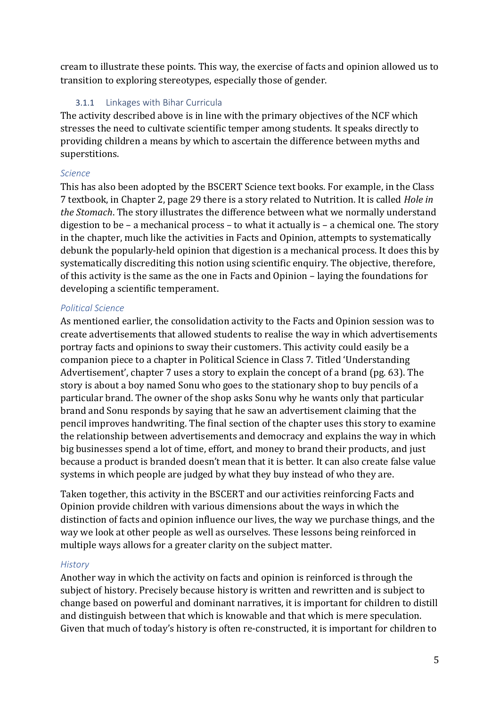cream to illustrate these points. This way, the exercise of facts and opinion allowed us to transition to exploring stereotypes, especially those of gender.

# 3.1.1 Linkages with Bihar Curricula

The activity described above is in line with the primary objectives of the NCF which stresses the need to cultivate scientific temper among students. It speaks directly to providing children a means by which to ascertain the difference between myths and superstitions.

#### *Science*

This has also been adopted by the BSCERT Science text books. For example, in the Class 7 textbook, in Chapter 2, page 29 there is a story related to Nutrition. It is called *Hole in the Stomach*. The story illustrates the difference between what we normally understand digestion to be – a mechanical process – to what it actually is – a chemical one. The story in the chapter, much like the activities in Facts and Opinion, attempts to systematically debunk the popularly-held opinion that digestion is a mechanical process. It does this by systematically discrediting this notion using scientific enquiry. The objective, therefore, of this activity is the same as the one in Facts and Opinion – laying the foundations for developing a scientific temperament.

#### *Political Science*

As mentioned earlier, the consolidation activity to the Facts and Opinion session was to create advertisements that allowed students to realise the way in which advertisements portray facts and opinions to sway their customers. This activity could easily be a companion piece to a chapter in Political Science in Class 7. Titled 'Understanding Advertisement', chapter 7 uses a story to explain the concept of a brand (pg. 63). The story is about a boy named Sonu who goes to the stationary shop to buy pencils of a particular brand. The owner of the shop asks Sonu why he wants only that particular brand and Sonu responds by saying that he saw an advertisement claiming that the pencil improves handwriting. The final section of the chapter uses this story to examine the relationship between advertisements and democracy and explains the way in which big businesses spend a lot of time, effort, and money to brand their products, and just because a product is branded doesn't mean that it is better. It can also create false value systems in which people are judged by what they buy instead of who they are.

Taken together, this activity in the BSCERT and our activities reinforcing Facts and Opinion provide children with various dimensions about the ways in which the distinction of facts and opinion influence our lives, the way we purchase things, and the way we look at other people as well as ourselves. These lessons being reinforced in multiple ways allows for a greater clarity on the subject matter.

#### *History*

Another way in which the activity on facts and opinion is reinforced is through the subject of history. Precisely because history is written and rewritten and is subject to change based on powerful and dominant narratives, it is important for children to distill and distinguish between that which is knowable and that which is mere speculation. Given that much of today's history is often re-constructed, it is important for children to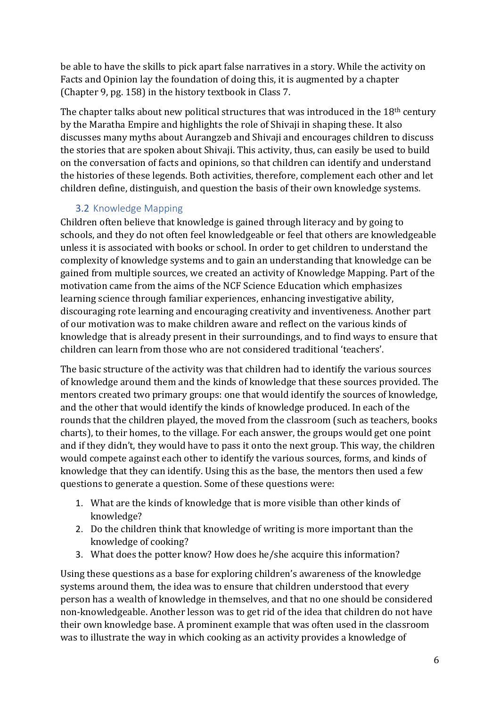be able to have the skills to pick apart false narratives in a story. While the activity on Facts and Opinion lay the foundation of doing this, it is augmented by a chapter (Chapter 9, pg. 158) in the history textbook in Class 7.

The chapter talks about new political structures that was introduced in the 18<sup>th</sup> century by the Maratha Empire and highlights the role of Shivaji in shaping these. It also discusses many myths about Aurangzeb and Shivaji and encourages children to discuss the stories that are spoken about Shivaji. This activity, thus, can easily be used to build on the conversation of facts and opinions, so that children can identify and understand the histories of these legends. Both activities, therefore, complement each other and let children define, distinguish, and question the basis of their own knowledge systems.

# 3.2 Knowledge Mapping

Children often believe that knowledge is gained through literacy and by going to schools, and they do not often feel knowledgeable or feel that others are knowledgeable unless it is associated with books or school. In order to get children to understand the complexity of knowledge systems and to gain an understanding that knowledge can be gained from multiple sources, we created an activity of Knowledge Mapping. Part of the motivation came from the aims of the NCF Science Education which emphasizes learning science through familiar experiences, enhancing investigative ability, discouraging rote learning and encouraging creativity and inventiveness. Another part of our motivation was to make children aware and reflect on the various kinds of knowledge that is already present in their surroundings, and to find ways to ensure that children can learn from those who are not considered traditional 'teachers'.

The basic structure of the activity was that children had to identify the various sources of knowledge around them and the kinds of knowledge that these sources provided. The mentors created two primary groups: one that would identify the sources of knowledge, and the other that would identify the kinds of knowledge produced. In each of the rounds that the children played, the moved from the classroom (such as teachers, books charts), to their homes, to the village. For each answer, the groups would get one point and if they didn't, they would have to pass it onto the next group. This way, the children would compete against each other to identify the various sources, forms, and kinds of knowledge that they can identify. Using this as the base, the mentors then used a few questions to generate a question. Some of these questions were:

- 1. What are the kinds of knowledge that is more visible than other kinds of knowledge?
- 2. Do the children think that knowledge of writing is more important than the knowledge of cooking?
- 3. What does the potter know? How does he/she acquire this information?

Using these questions as a base for exploring children's awareness of the knowledge systems around them, the idea was to ensure that children understood that every person has a wealth of knowledge in themselves, and that no one should be considered non-knowledgeable. Another lesson was to get rid of the idea that children do not have their own knowledge base. A prominent example that was often used in the classroom was to illustrate the way in which cooking as an activity provides a knowledge of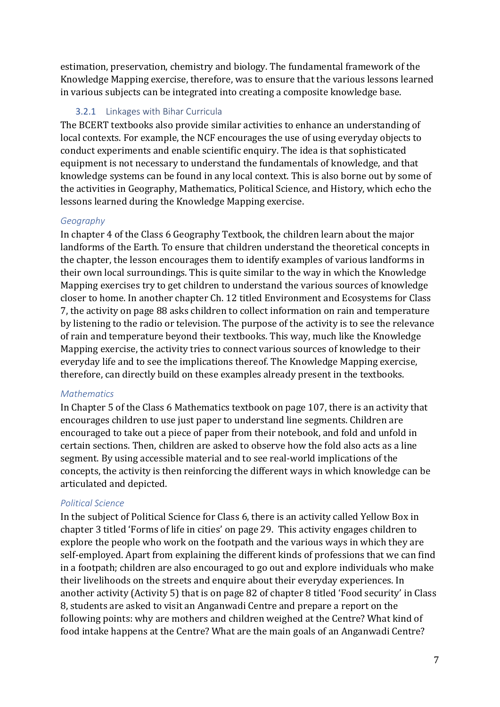estimation, preservation, chemistry and biology. The fundamental framework of the Knowledge Mapping exercise, therefore, was to ensure that the various lessons learned in various subjects can be integrated into creating a composite knowledge base.

#### 3.2.1 Linkages with Bihar Curricula

The BCERT textbooks also provide similar activities to enhance an understanding of local contexts. For example, the NCF encourages the use of using everyday objects to conduct experiments and enable scientific enquiry. The idea is that sophisticated equipment is not necessary to understand the fundamentals of knowledge, and that knowledge systems can be found in any local context. This is also borne out by some of the activities in Geography, Mathematics, Political Science, and History, which echo the lessons learned during the Knowledge Mapping exercise.

#### *Geography*

In chapter 4 of the Class 6 Geography Textbook, the children learn about the major landforms of the Earth. To ensure that children understand the theoretical concepts in the chapter, the lesson encourages them to identify examples of various landforms in their own local surroundings. This is quite similar to the way in which the Knowledge Mapping exercises try to get children to understand the various sources of knowledge closer to home. In another chapter Ch. 12 titled Environment and Ecosystems for Class 7, the activity on page 88 asks children to collect information on rain and temperature by listening to the radio or television. The purpose of the activity is to see the relevance of rain and temperature beyond their textbooks. This way, much like the Knowledge Mapping exercise, the activity tries to connect various sources of knowledge to their everyday life and to see the implications thereof. The Knowledge Mapping exercise, therefore, can directly build on these examples already present in the textbooks.

#### *Mathematics*

In Chapter 5 of the Class 6 Mathematics textbook on page 107, there is an activity that encourages children to use just paper to understand line segments. Children are encouraged to take out a piece of paper from their notebook, and fold and unfold in certain sections. Then, children are asked to observe how the fold also acts as a line segment. By using accessible material and to see real-world implications of the concepts, the activity is then reinforcing the different ways in which knowledge can be articulated and depicted.

#### *Political Science*

In the subject of Political Science for Class 6, there is an activity called Yellow Box in chapter 3 titled 'Forms of life in cities' on page 29. This activity engages children to explore the people who work on the footpath and the various ways in which they are self-employed. Apart from explaining the different kinds of professions that we can find in a footpath; children are also encouraged to go out and explore individuals who make their livelihoods on the streets and enquire about their everyday experiences. In another activity (Activity 5) that is on page 82 of chapter 8 titled 'Food security' in Class 8, students are asked to visit an Anganwadi Centre and prepare a report on the following points: why are mothers and children weighed at the Centre? What kind of food intake happens at the Centre? What are the main goals of an Anganwadi Centre?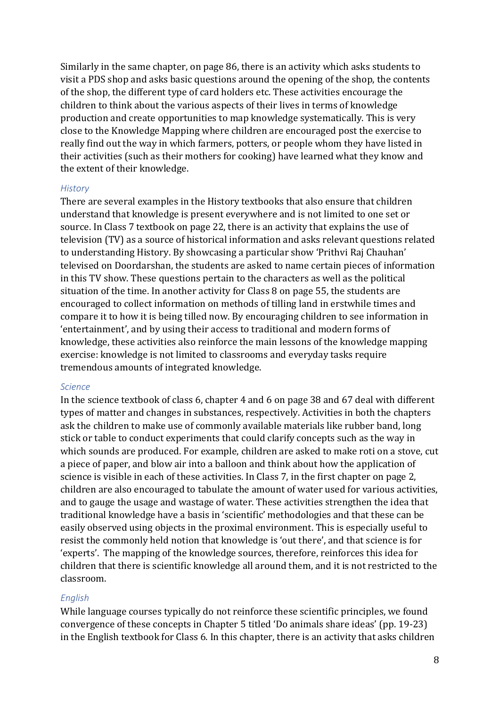Similarly in the same chapter, on page 86, there is an activity which asks students to visit a PDS shop and asks basic questions around the opening of the shop, the contents of the shop, the different type of card holders etc. These activities encourage the children to think about the various aspects of their lives in terms of knowledge production and create opportunities to map knowledge systematically. This is very close to the Knowledge Mapping where children are encouraged post the exercise to really find out the way in which farmers, potters, or people whom they have listed in their activities (such as their mothers for cooking) have learned what they know and the extent of their knowledge.

#### *History*

There are several examples in the History textbooks that also ensure that children understand that knowledge is present everywhere and is not limited to one set or source. In Class 7 textbook on page 22, there is an activity that explains the use of television (TV) as a source of historical information and asks relevant questions related to understanding History. By showcasing a particular show 'Prithvi Raj Chauhan' televised on Doordarshan, the students are asked to name certain pieces of information in this TV show. These questions pertain to the characters as well as the political situation of the time. In another activity for Class 8 on page 55, the students are encouraged to collect information on methods of tilling land in erstwhile times and compare it to how it is being tilled now. By encouraging children to see information in 'entertainment', and by using their access to traditional and modern forms of knowledge, these activities also reinforce the main lessons of the knowledge mapping exercise: knowledge is not limited to classrooms and everyday tasks require tremendous amounts of integrated knowledge.

#### *Science*

In the science textbook of class 6, chapter 4 and 6 on page 38 and 67 deal with different types of matter and changes in substances, respectively. Activities in both the chapters ask the children to make use of commonly available materials like rubber band, long stick or table to conduct experiments that could clarify concepts such as the way in which sounds are produced. For example, children are asked to make roti on a stove, cut a piece of paper, and blow air into a balloon and think about how the application of science is visible in each of these activities. In Class 7, in the first chapter on page 2, children are also encouraged to tabulate the amount of water used for various activities, and to gauge the usage and wastage of water. These activities strengthen the idea that traditional knowledge have a basis in 'scientific' methodologies and that these can be easily observed using objects in the proximal environment. This is especially useful to resist the commonly held notion that knowledge is 'out there', and that science is for 'experts'. The mapping of the knowledge sources, therefore, reinforces this idea for children that there is scientific knowledge all around them, and it is not restricted to the classroom.

#### *English*

While language courses typically do not reinforce these scientific principles, we found convergence of these concepts in Chapter 5 titled 'Do animals share ideas' (pp. 19-23) in the English textbook for Class 6. In this chapter, there is an activity that asks children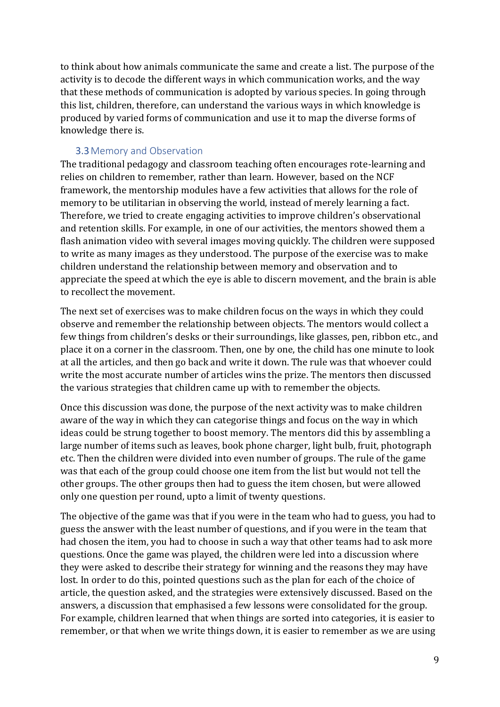to think about how animals communicate the same and create a list. The purpose of the activity is to decode the different ways in which communication works, and the way that these methods of communication is adopted by various species. In going through this list, children, therefore, can understand the various ways in which knowledge is produced by varied forms of communication and use it to map the diverse forms of knowledge there is.

### 3.3Memory and Observation

The traditional pedagogy and classroom teaching often encourages rote-learning and relies on children to remember, rather than learn. However, based on the NCF framework, the mentorship modules have a few activities that allows for the role of memory to be utilitarian in observing the world, instead of merely learning a fact. Therefore, we tried to create engaging activities to improve children's observational and retention skills. For example, in one of our activities, the mentors showed them a flash animation video with several images moving quickly. The children were supposed to write as many images as they understood. The purpose of the exercise was to make children understand the relationship between memory and observation and to appreciate the speed at which the eye is able to discern movement, and the brain is able to recollect the movement.

The next set of exercises was to make children focus on the ways in which they could observe and remember the relationship between objects. The mentors would collect a few things from children's desks or their surroundings, like glasses, pen, ribbon etc., and place it on a corner in the classroom. Then, one by one, the child has one minute to look at all the articles, and then go back and write it down. The rule was that whoever could write the most accurate number of articles wins the prize. The mentors then discussed the various strategies that children came up with to remember the objects.

Once this discussion was done, the purpose of the next activity was to make children aware of the way in which they can categorise things and focus on the way in which ideas could be strung together to boost memory. The mentors did this by assembling a large number of items such as leaves, book phone charger, light bulb, fruit, photograph etc. Then the children were divided into even number of groups. The rule of the game was that each of the group could choose one item from the list but would not tell the other groups. The other groups then had to guess the item chosen, but were allowed only one question per round, upto a limit of twenty questions.

The objective of the game was that if you were in the team who had to guess, you had to guess the answer with the least number of questions, and if you were in the team that had chosen the item, you had to choose in such a way that other teams had to ask more questions. Once the game was played, the children were led into a discussion where they were asked to describe their strategy for winning and the reasons they may have lost. In order to do this, pointed questions such as the plan for each of the choice of article, the question asked, and the strategies were extensively discussed. Based on the answers, a discussion that emphasised a few lessons were consolidated for the group. For example, children learned that when things are sorted into categories, it is easier to remember, or that when we write things down, it is easier to remember as we are using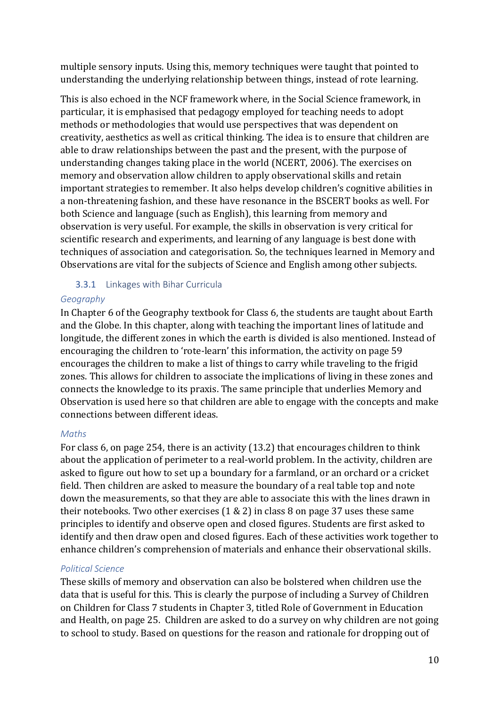multiple sensory inputs. Using this, memory techniques were taught that pointed to understanding the underlying relationship between things, instead of rote learning.

This is also echoed in the NCF framework where, in the Social Science framework, in particular, it is emphasised that pedagogy employed for teaching needs to adopt methods or methodologies that would use perspectives that was dependent on creativity, aesthetics as well as critical thinking. The idea is to ensure that children are able to draw relationships between the past and the present, with the purpose of understanding changes taking place in the world (NCERT, 2006). The exercises on memory and observation allow children to apply observational skills and retain important strategies to remember. It also helps develop children's cognitive abilities in a non-threatening fashion, and these have resonance in the BSCERT books as well. For both Science and language (such as English), this learning from memory and observation is very useful. For example, the skills in observation is very critical for scientific research and experiments, and learning of any language is best done with techniques of association and categorisation. So, the techniques learned in Memory and Observations are vital for the subjects of Science and English among other subjects.

# 3.3.1 Linkages with Bihar Curricula

# *Geography*

In Chapter 6 of the Geography textbook for Class 6, the students are taught about Earth and the Globe. In this chapter, along with teaching the important lines of latitude and longitude, the different zones in which the earth is divided is also mentioned. Instead of encouraging the children to 'rote-learn' this information, the activity on page 59 encourages the children to make a list of things to carry while traveling to the frigid zones. This allows for children to associate the implications of living in these zones and connects the knowledge to its praxis. The same principle that underlies Memory and Observation is used here so that children are able to engage with the concepts and make connections between different ideas.

# *Maths*

For class 6, on page 254, there is an activity (13.2) that encourages children to think about the application of perimeter to a real-world problem. In the activity, children are asked to figure out how to set up a boundary for a farmland, or an orchard or a cricket field. Then children are asked to measure the boundary of a real table top and note down the measurements, so that they are able to associate this with the lines drawn in their notebooks. Two other exercises (1 & 2) in class 8 on page 37 uses these same principles to identify and observe open and closed figures. Students are first asked to identify and then draw open and closed figures. Each of these activities work together to enhance children's comprehension of materials and enhance their observational skills.

# *Political Science*

These skills of memory and observation can also be bolstered when children use the data that is useful for this. This is clearly the purpose of including a Survey of Children on Children for Class 7 students in Chapter 3, titled Role of Government in Education and Health, on page 25. Children are asked to do a survey on why children are not going to school to study. Based on questions for the reason and rationale for dropping out of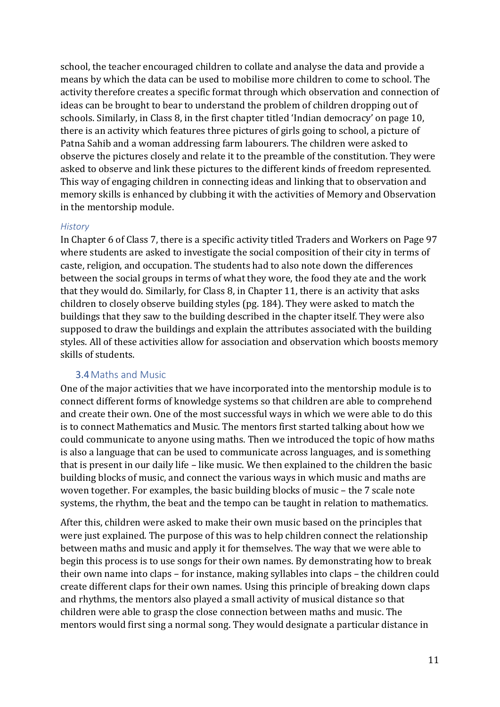school, the teacher encouraged children to collate and analyse the data and provide a means by which the data can be used to mobilise more children to come to school. The activity therefore creates a specific format through which observation and connection of ideas can be brought to bear to understand the problem of children dropping out of schools. Similarly, in Class 8, in the first chapter titled 'Indian democracy' on page 10, there is an activity which features three pictures of girls going to school, a picture of Patna Sahib and a woman addressing farm labourers. The children were asked to observe the pictures closely and relate it to the preamble of the constitution. They were asked to observe and link these pictures to the different kinds of freedom represented. This way of engaging children in connecting ideas and linking that to observation and memory skills is enhanced by clubbing it with the activities of Memory and Observation in the mentorship module.

#### *History*

In Chapter 6 of Class 7, there is a specific activity titled Traders and Workers on Page 97 where students are asked to investigate the social composition of their city in terms of caste, religion, and occupation. The students had to also note down the differences between the social groups in terms of what they wore, the food they ate and the work that they would do. Similarly, for Class 8, in Chapter 11, there is an activity that asks children to closely observe building styles (pg. 184). They were asked to match the buildings that they saw to the building described in the chapter itself. They were also supposed to draw the buildings and explain the attributes associated with the building styles. All of these activities allow for association and observation which boosts memory skills of students.

#### 3.4Maths and Music

One of the major activities that we have incorporated into the mentorship module is to connect different forms of knowledge systems so that children are able to comprehend and create their own. One of the most successful ways in which we were able to do this is to connect Mathematics and Music. The mentors first started talking about how we could communicate to anyone using maths. Then we introduced the topic of how maths is also a language that can be used to communicate across languages, and is something that is present in our daily life – like music. We then explained to the children the basic building blocks of music, and connect the various ways in which music and maths are woven together. For examples, the basic building blocks of music – the 7 scale note systems, the rhythm, the beat and the tempo can be taught in relation to mathematics.

After this, children were asked to make their own music based on the principles that were just explained. The purpose of this was to help children connect the relationship between maths and music and apply it for themselves. The way that we were able to begin this process is to use songs for their own names. By demonstrating how to break their own name into claps – for instance, making syllables into claps – the children could create different claps for their own names. Using this principle of breaking down claps and rhythms, the mentors also played a small activity of musical distance so that children were able to grasp the close connection between maths and music. The mentors would first sing a normal song. They would designate a particular distance in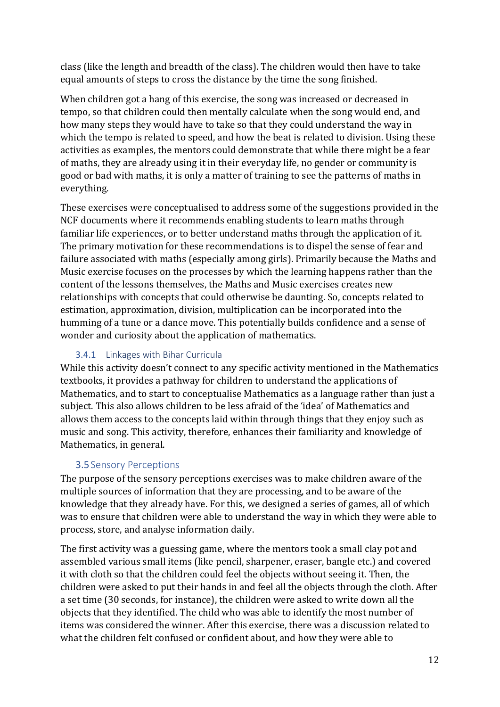class (like the length and breadth of the class). The children would then have to take equal amounts of steps to cross the distance by the time the song finished.

When children got a hang of this exercise, the song was increased or decreased in tempo, so that children could then mentally calculate when the song would end, and how many steps they would have to take so that they could understand the way in which the tempo is related to speed, and how the beat is related to division. Using these activities as examples, the mentors could demonstrate that while there might be a fear of maths, they are already using it in their everyday life, no gender or community is good or bad with maths, it is only a matter of training to see the patterns of maths in everything.

These exercises were conceptualised to address some of the suggestions provided in the NCF documents where it recommends enabling students to learn maths through familiar life experiences, or to better understand maths through the application of it. The primary motivation for these recommendations is to dispel the sense of fear and failure associated with maths (especially among girls). Primarily because the Maths and Music exercise focuses on the processes by which the learning happens rather than the content of the lessons themselves, the Maths and Music exercises creates new relationships with concepts that could otherwise be daunting. So, concepts related to estimation, approximation, division, multiplication can be incorporated into the humming of a tune or a dance move. This potentially builds confidence and a sense of wonder and curiosity about the application of mathematics.

# 3.4.1 Linkages with Bihar Curricula

While this activity doesn't connect to any specific activity mentioned in the Mathematics textbooks, it provides a pathway for children to understand the applications of Mathematics, and to start to conceptualise Mathematics as a language rather than just a subject. This also allows children to be less afraid of the 'idea' of Mathematics and allows them access to the concepts laid within through things that they enjoy such as music and song. This activity, therefore, enhances their familiarity and knowledge of Mathematics, in general.

# 3.5Sensory Perceptions

The purpose of the sensory perceptions exercises was to make children aware of the multiple sources of information that they are processing, and to be aware of the knowledge that they already have. For this, we designed a series of games, all of which was to ensure that children were able to understand the way in which they were able to process, store, and analyse information daily.

The first activity was a guessing game, where the mentors took a small clay pot and assembled various small items (like pencil, sharpener, eraser, bangle etc.) and covered it with cloth so that the children could feel the objects without seeing it. Then, the children were asked to put their hands in and feel all the objects through the cloth. After a set time (30 seconds, for instance), the children were asked to write down all the objects that they identified. The child who was able to identify the most number of items was considered the winner. After this exercise, there was a discussion related to what the children felt confused or confident about, and how they were able to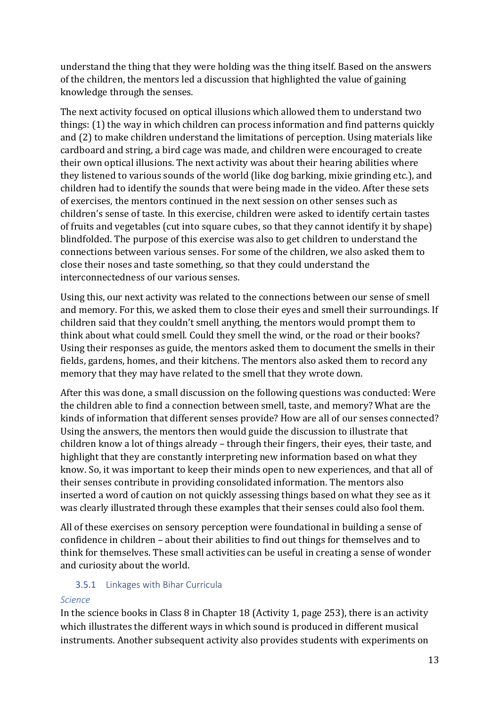understand the thing that they were holding was the thing itself. Based on the answers of the children, the mentors led a discussion that highlighted the value of gaining knowledge through the senses.

The next activity focused on optical illusions which allowed them to understand two things: (1) the way in which children can process information and find patterns quickly and (2) to make children understand the limitations of perception. Using materials like cardboard and string, a bird cage was made, and children were encouraged to create their own optical illusions. The next activity was about their hearing abilities where they listened to various sounds of the world (like dog barking, mixie grinding etc.), and children had to identify the sounds that were being made in the video. After these sets of exercises, the mentors continued in the next session on other senses such as children's sense of taste. In this exercise, children were asked to identify certain tastes of fruits and vegetables (cut into square cubes, so that they cannot identify it by shape) blindfolded. The purpose of this exercise was also to get children to understand the connections between various senses. For some of the children, we also asked them to close their noses and taste something, so that they could understand the interconnectedness of our various senses.

Using this, our next activity was related to the connections between our sense of smell and memory. For this, we asked them to close their eyes and smell their surroundings. If children said that they couldn't smell anything, the mentors would prompt them to think about what could smell. Could they smell the wind, or the road or their books? Using their responses as guide, the mentors asked them to document the smells in their fields, gardens, homes, and their kitchens. The mentors also asked them to record any memory that they may have related to the smell that they wrote down.

After this was done, a small discussion on the following questions was conducted: Were the children able to find a connection between smell, taste, and memory? What are the kinds of information that different senses provide? How are all of our senses connected? Using the answers, the mentors then would guide the discussion to illustrate that children know a lot of things already – through their fingers, their eyes, their taste, and highlight that they are constantly interpreting new information based on what they know. So, it was important to keep their minds open to new experiences, and that all of their senses contribute in providing consolidated information. The mentors also inserted a word of caution on not quickly assessing things based on what they see as it was clearly illustrated through these examples that their senses could also fool them.

All of these exercises on sensory perception were foundational in building a sense of confidence in children – about their abilities to find out things for themselves and to think for themselves. These small activities can be useful in creating a sense of wonder and curiosity about the world.

# 3.5.1 Linkages with Bihar Curricula

#### *Science*

In the science books in Class 8 in Chapter 18 (Activity 1, page 253), there is an activity which illustrates the different ways in which sound is produced in different musical instruments. Another subsequent activity also provides students with experiments on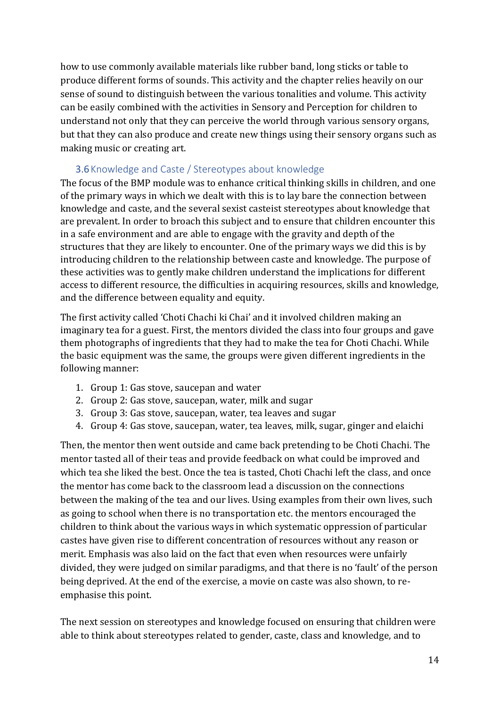how to use commonly available materials like rubber band, long sticks or table to produce different forms of sounds. This activity and the chapter relies heavily on our sense of sound to distinguish between the various tonalities and volume. This activity can be easily combined with the activities in Sensory and Perception for children to understand not only that they can perceive the world through various sensory organs, but that they can also produce and create new things using their sensory organs such as making music or creating art.

# 3.6Knowledge and Caste / Stereotypes about knowledge

The focus of the BMP module was to enhance critical thinking skills in children, and one of the primary ways in which we dealt with this is to lay bare the connection between knowledge and caste, and the several sexist casteist stereotypes about knowledge that are prevalent. In order to broach this subject and to ensure that children encounter this in a safe environment and are able to engage with the gravity and depth of the structures that they are likely to encounter. One of the primary ways we did this is by introducing children to the relationship between caste and knowledge. The purpose of these activities was to gently make children understand the implications for different access to different resource, the difficulties in acquiring resources, skills and knowledge, and the difference between equality and equity.

The first activity called 'Choti Chachi ki Chai' and it involved children making an imaginary tea for a guest. First, the mentors divided the class into four groups and gave them photographs of ingredients that they had to make the tea for Choti Chachi. While the basic equipment was the same, the groups were given different ingredients in the following manner:

- 1. Group 1: Gas stove, saucepan and water
- 2. Group 2: Gas stove, saucepan, water, milk and sugar
- 3. Group 3: Gas stove, saucepan, water, tea leaves and sugar
- 4. Group 4: Gas stove, saucepan, water, tea leaves, milk, sugar, ginger and elaichi

Then, the mentor then went outside and came back pretending to be Choti Chachi. The mentor tasted all of their teas and provide feedback on what could be improved and which tea she liked the best. Once the tea is tasted, Choti Chachi left the class, and once the mentor has come back to the classroom lead a discussion on the connections between the making of the tea and our lives. Using examples from their own lives, such as going to school when there is no transportation etc. the mentors encouraged the children to think about the various ways in which systematic oppression of particular castes have given rise to different concentration of resources without any reason or merit. Emphasis was also laid on the fact that even when resources were unfairly divided, they were judged on similar paradigms, and that there is no 'fault' of the person being deprived. At the end of the exercise, a movie on caste was also shown, to reemphasise this point.

The next session on stereotypes and knowledge focused on ensuring that children were able to think about stereotypes related to gender, caste, class and knowledge, and to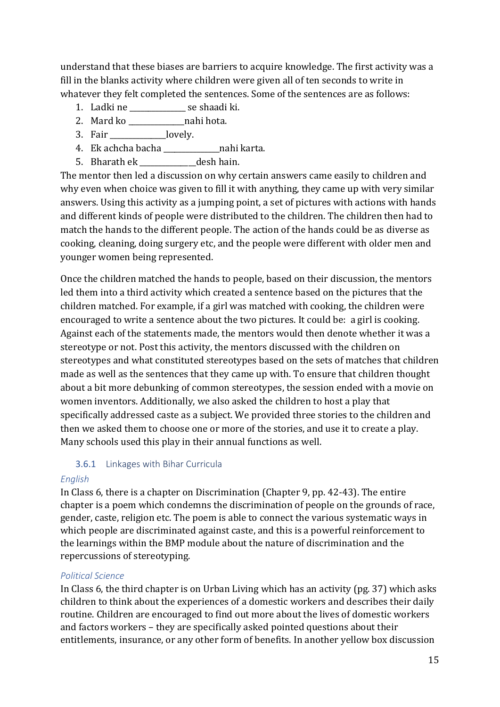understand that these biases are barriers to acquire knowledge. The first activity was a fill in the blanks activity where children were given all of ten seconds to write in whatever they felt completed the sentences. Some of the sentences are as follows:

- 1. Ladki ne \_\_\_\_\_\_\_\_\_\_\_\_\_\_\_ se shaadi ki.
- 2. Mard ko \_\_\_\_\_\_\_\_\_\_\_\_\_\_\_nahi hota.
- 3. Fair lovely.
- 4. Ek achcha bacha \_\_\_\_\_\_\_\_\_\_\_\_\_\_\_nahi karta.
- 5. Bharath ek desh hain.

The mentor then led a discussion on why certain answers came easily to children and why even when choice was given to fill it with anything, they came up with very similar answers. Using this activity as a jumping point, a set of pictures with actions with hands and different kinds of people were distributed to the children. The children then had to match the hands to the different people. The action of the hands could be as diverse as cooking, cleaning, doing surgery etc, and the people were different with older men and younger women being represented.

Once the children matched the hands to people, based on their discussion, the mentors led them into a third activity which created a sentence based on the pictures that the children matched. For example, if a girl was matched with cooking, the children were encouraged to write a sentence about the two pictures. It could be: a girl is cooking. Against each of the statements made, the mentors would then denote whether it was a stereotype or not. Post this activity, the mentors discussed with the children on stereotypes and what constituted stereotypes based on the sets of matches that children made as well as the sentences that they came up with. To ensure that children thought about a bit more debunking of common stereotypes, the session ended with a movie on women inventors. Additionally, we also asked the children to host a play that specifically addressed caste as a subject. We provided three stories to the children and then we asked them to choose one or more of the stories, and use it to create a play. Many schools used this play in their annual functions as well.

#### 3.6.1 Linkages with Bihar Curricula

#### *English*

In Class 6, there is a chapter on Discrimination (Chapter 9, pp. 42-43). The entire chapter is a poem which condemns the discrimination of people on the grounds of race, gender, caste, religion etc. The poem is able to connect the various systematic ways in which people are discriminated against caste, and this is a powerful reinforcement to the learnings within the BMP module about the nature of discrimination and the repercussions of stereotyping.

#### *Political Science*

In Class 6, the third chapter is on Urban Living which has an activity (pg. 37) which asks children to think about the experiences of a domestic workers and describes their daily routine. Children are encouraged to find out more about the lives of domestic workers and factors workers – they are specifically asked pointed questions about their entitlements, insurance, or any other form of benefits. In another yellow box discussion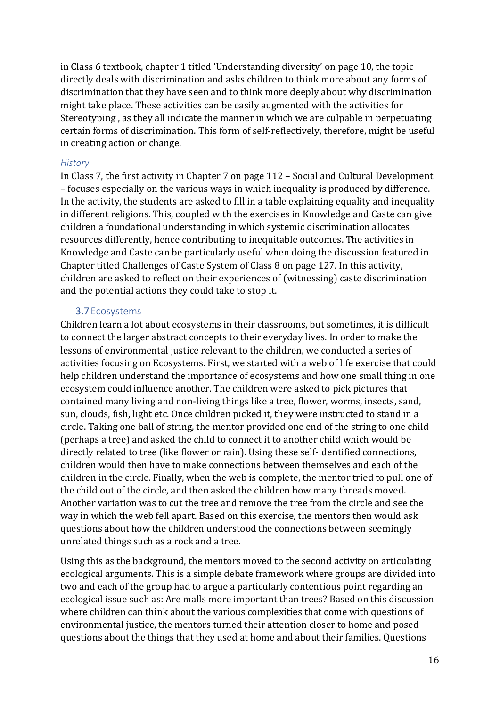in Class 6 textbook, chapter 1 titled 'Understanding diversity' on page 10, the topic directly deals with discrimination and asks children to think more about any forms of discrimination that they have seen and to think more deeply about why discrimination might take place. These activities can be easily augmented with the activities for Stereotyping , as they all indicate the manner in which we are culpable in perpetuating certain forms of discrimination. This form of self-reflectively, therefore, might be useful in creating action or change.

#### *History*

In Class 7, the first activity in Chapter 7 on page 112 – Social and Cultural Development – focuses especially on the various ways in which inequality is produced by difference. In the activity, the students are asked to fill in a table explaining equality and inequality in different religions. This, coupled with the exercises in Knowledge and Caste can give children a foundational understanding in which systemic discrimination allocates resources differently, hence contributing to inequitable outcomes. The activities in Knowledge and Caste can be particularly useful when doing the discussion featured in Chapter titled Challenges of Caste System of Class 8 on page 127. In this activity, children are asked to reflect on their experiences of (witnessing) caste discrimination and the potential actions they could take to stop it.

#### 3.7Ecosystems

Children learn a lot about ecosystems in their classrooms, but sometimes, it is difficult to connect the larger abstract concepts to their everyday lives. In order to make the lessons of environmental justice relevant to the children, we conducted a series of activities focusing on Ecosystems. First, we started with a web of life exercise that could help children understand the importance of ecosystems and how one small thing in one ecosystem could influence another. The children were asked to pick pictures that contained many living and non-living things like a tree, flower, worms, insects, sand, sun, clouds, fish, light etc. Once children picked it, they were instructed to stand in a circle. Taking one ball of string, the mentor provided one end of the string to one child (perhaps a tree) and asked the child to connect it to another child which would be directly related to tree (like flower or rain). Using these self-identified connections, children would then have to make connections between themselves and each of the children in the circle. Finally, when the web is complete, the mentor tried to pull one of the child out of the circle, and then asked the children how many threads moved. Another variation was to cut the tree and remove the tree from the circle and see the way in which the web fell apart. Based on this exercise, the mentors then would ask questions about how the children understood the connections between seemingly unrelated things such as a rock and a tree.

Using this as the background, the mentors moved to the second activity on articulating ecological arguments. This is a simple debate framework where groups are divided into two and each of the group had to argue a particularly contentious point regarding an ecological issue such as: Are malls more important than trees? Based on this discussion where children can think about the various complexities that come with questions of environmental justice, the mentors turned their attention closer to home and posed questions about the things that they used at home and about their families. Questions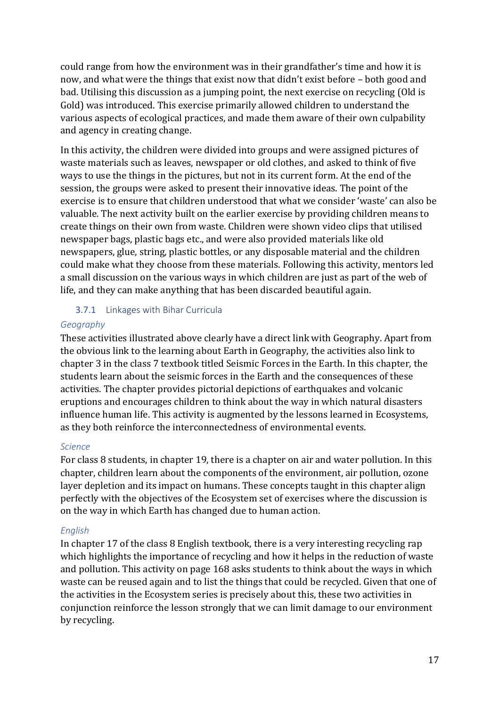could range from how the environment was in their grandfather's time and how it is now, and what were the things that exist now that didn't exist before – both good and bad. Utilising this discussion as a jumping point, the next exercise on recycling (Old is Gold) was introduced. This exercise primarily allowed children to understand the various aspects of ecological practices, and made them aware of their own culpability and agency in creating change.

In this activity, the children were divided into groups and were assigned pictures of waste materials such as leaves, newspaper or old clothes, and asked to think of five ways to use the things in the pictures, but not in its current form. At the end of the session, the groups were asked to present their innovative ideas. The point of the exercise is to ensure that children understood that what we consider 'waste' can also be valuable. The next activity built on the earlier exercise by providing children means to create things on their own from waste. Children were shown video clips that utilised newspaper bags, plastic bags etc., and were also provided materials like old newspapers, glue, string, plastic bottles, or any disposable material and the children could make what they choose from these materials. Following this activity, mentors led a small discussion on the various ways in which children are just as part of the web of life, and they can make anything that has been discarded beautiful again.

#### 3.7.1 Linkages with Bihar Curricula

#### *Geography*

These activities illustrated above clearly have a direct link with Geography. Apart from the obvious link to the learning about Earth in Geography, the activities also link to chapter 3 in the class 7 textbook titled Seismic Forces in the Earth. In this chapter, the students learn about the seismic forces in the Earth and the consequences of these activities. The chapter provides pictorial depictions of earthquakes and volcanic eruptions and encourages children to think about the way in which natural disasters influence human life. This activity is augmented by the lessons learned in Ecosystems, as they both reinforce the interconnectedness of environmental events.

#### *Science*

For class 8 students, in chapter 19, there is a chapter on air and water pollution. In this chapter, children learn about the components of the environment, air pollution, ozone layer depletion and its impact on humans. These concepts taught in this chapter align perfectly with the objectives of the Ecosystem set of exercises where the discussion is on the way in which Earth has changed due to human action.

# *English*

In chapter 17 of the class 8 English textbook, there is a very interesting recycling rap which highlights the importance of recycling and how it helps in the reduction of waste and pollution. This activity on page 168 asks students to think about the ways in which waste can be reused again and to list the things that could be recycled. Given that one of the activities in the Ecosystem series is precisely about this, these two activities in conjunction reinforce the lesson strongly that we can limit damage to our environment by recycling.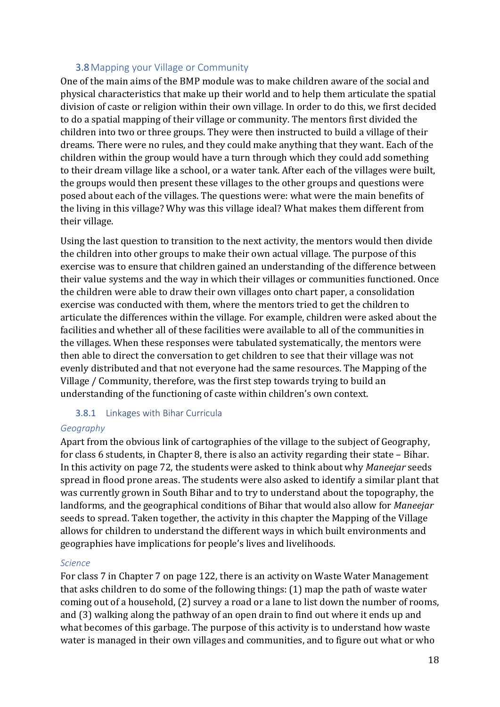#### 3.8Mapping your Village or Community

One of the main aims of the BMP module was to make children aware of the social and physical characteristics that make up their world and to help them articulate the spatial division of caste or religion within their own village. In order to do this, we first decided to do a spatial mapping of their village or community. The mentors first divided the children into two or three groups. They were then instructed to build a village of their dreams. There were no rules, and they could make anything that they want. Each of the children within the group would have a turn through which they could add something to their dream village like a school, or a water tank. After each of the villages were built, the groups would then present these villages to the other groups and questions were posed about each of the villages. The questions were: what were the main benefits of the living in this village? Why was this village ideal? What makes them different from their village.

Using the last question to transition to the next activity, the mentors would then divide the children into other groups to make their own actual village. The purpose of this exercise was to ensure that children gained an understanding of the difference between their value systems and the way in which their villages or communities functioned. Once the children were able to draw their own villages onto chart paper, a consolidation exercise was conducted with them, where the mentors tried to get the children to articulate the differences within the village. For example, children were asked about the facilities and whether all of these facilities were available to all of the communities in the villages. When these responses were tabulated systematically, the mentors were then able to direct the conversation to get children to see that their village was not evenly distributed and that not everyone had the same resources. The Mapping of the Village / Community, therefore, was the first step towards trying to build an understanding of the functioning of caste within children's own context.

#### 3.8.1 Linkages with Bihar Curricula

#### *Geography*

Apart from the obvious link of cartographies of the village to the subject of Geography, for class 6 students, in Chapter 8, there is also an activity regarding their state – Bihar. In this activity on page 72, the students were asked to think about why *Maneejar* seeds spread in flood prone areas. The students were also asked to identify a similar plant that was currently grown in South Bihar and to try to understand about the topography, the landforms, and the geographical conditions of Bihar that would also allow for *Maneejar*  seeds to spread. Taken together, the activity in this chapter the Mapping of the Village allows for children to understand the different ways in which built environments and geographies have implications for people's lives and livelihoods.

#### *Science*

For class 7 in Chapter 7 on page 122, there is an activity on Waste Water Management that asks children to do some of the following things: (1) map the path of waste water coming out of a household, (2) survey a road or a lane to list down the number of rooms, and (3) walking along the pathway of an open drain to find out where it ends up and what becomes of this garbage. The purpose of this activity is to understand how waste water is managed in their own villages and communities, and to figure out what or who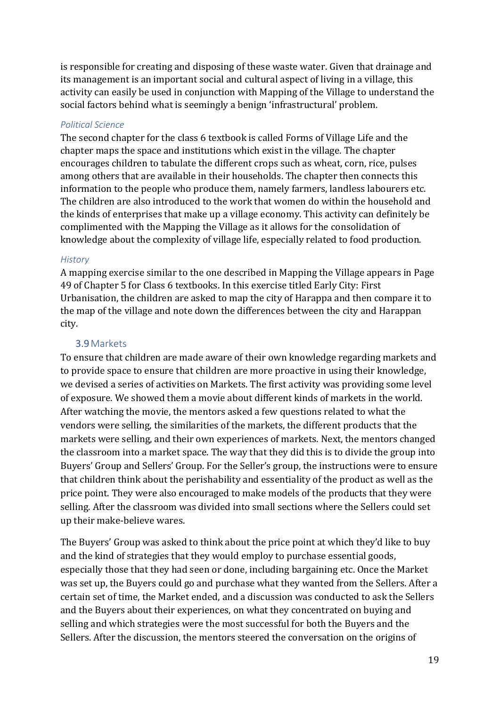is responsible for creating and disposing of these waste water. Given that drainage and its management is an important social and cultural aspect of living in a village, this activity can easily be used in conjunction with Mapping of the Village to understand the social factors behind what is seemingly a benign 'infrastructural' problem.

#### *Political Science*

The second chapter for the class 6 textbook is called Forms of Village Life and the chapter maps the space and institutions which exist in the village. The chapter encourages children to tabulate the different crops such as wheat, corn, rice, pulses among others that are available in their households. The chapter then connects this information to the people who produce them, namely farmers, landless labourers etc. The children are also introduced to the work that women do within the household and the kinds of enterprises that make up a village economy. This activity can definitely be complimented with the Mapping the Village as it allows for the consolidation of knowledge about the complexity of village life, especially related to food production.

#### *History*

A mapping exercise similar to the one described in Mapping the Village appears in Page 49 of Chapter 5 for Class 6 textbooks. In this exercise titled Early City: First Urbanisation, the children are asked to map the city of Harappa and then compare it to the map of the village and note down the differences between the city and Harappan city.

# 3.9Markets

To ensure that children are made aware of their own knowledge regarding markets and to provide space to ensure that children are more proactive in using their knowledge, we devised a series of activities on Markets. The first activity was providing some level of exposure. We showed them a movie about different kinds of markets in the world. After watching the movie, the mentors asked a few questions related to what the vendors were selling, the similarities of the markets, the different products that the markets were selling, and their own experiences of markets. Next, the mentors changed the classroom into a market space. The way that they did this is to divide the group into Buyers' Group and Sellers' Group. For the Seller's group, the instructions were to ensure that children think about the perishability and essentiality of the product as well as the price point. They were also encouraged to make models of the products that they were selling. After the classroom was divided into small sections where the Sellers could set up their make-believe wares.

The Buyers' Group was asked to think about the price point at which they'd like to buy and the kind of strategies that they would employ to purchase essential goods, especially those that they had seen or done, including bargaining etc. Once the Market was set up, the Buyers could go and purchase what they wanted from the Sellers. After a certain set of time, the Market ended, and a discussion was conducted to ask the Sellers and the Buyers about their experiences, on what they concentrated on buying and selling and which strategies were the most successful for both the Buyers and the Sellers. After the discussion, the mentors steered the conversation on the origins of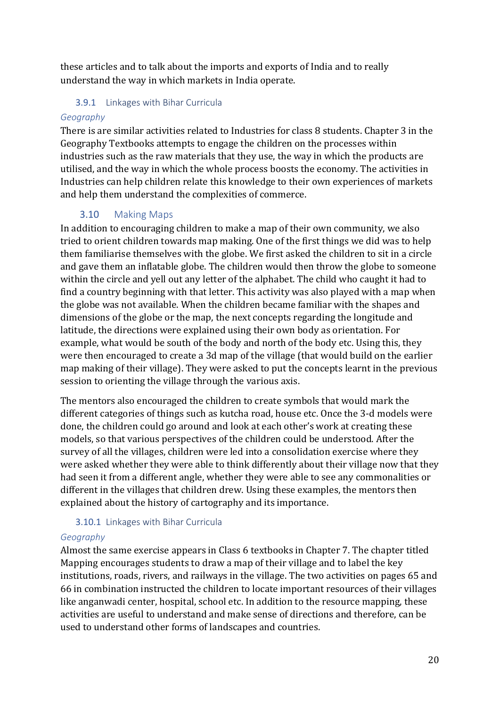these articles and to talk about the imports and exports of India and to really understand the way in which markets in India operate.

### 3.9.1 Linkages with Bihar Curricula

#### *Geography*

There is are similar activities related to Industries for class 8 students. Chapter 3 in the Geography Textbooks attempts to engage the children on the processes within industries such as the raw materials that they use, the way in which the products are utilised, and the way in which the whole process boosts the economy. The activities in Industries can help children relate this knowledge to their own experiences of markets and help them understand the complexities of commerce.

# 3.10 Making Maps

In addition to encouraging children to make a map of their own community, we also tried to orient children towards map making. One of the first things we did was to help them familiarise themselves with the globe. We first asked the children to sit in a circle and gave them an inflatable globe. The children would then throw the globe to someone within the circle and yell out any letter of the alphabet. The child who caught it had to find a country beginning with that letter. This activity was also played with a map when the globe was not available. When the children became familiar with the shapes and dimensions of the globe or the map, the next concepts regarding the longitude and latitude, the directions were explained using their own body as orientation. For example, what would be south of the body and north of the body etc. Using this, they were then encouraged to create a 3d map of the village (that would build on the earlier map making of their village). They were asked to put the concepts learnt in the previous session to orienting the village through the various axis.

The mentors also encouraged the children to create symbols that would mark the different categories of things such as kutcha road, house etc. Once the 3-d models were done, the children could go around and look at each other's work at creating these models, so that various perspectives of the children could be understood. After the survey of all the villages, children were led into a consolidation exercise where they were asked whether they were able to think differently about their village now that they had seen it from a different angle, whether they were able to see any commonalities or different in the villages that children drew. Using these examples, the mentors then explained about the history of cartography and its importance.

# 3.10.1 Linkages with Bihar Curricula

# *Geography*

Almost the same exercise appears in Class 6 textbooks in Chapter 7. The chapter titled Mapping encourages students to draw a map of their village and to label the key institutions, roads, rivers, and railways in the village. The two activities on pages 65 and 66 in combination instructed the children to locate important resources of their villages like anganwadi center, hospital, school etc. In addition to the resource mapping, these activities are useful to understand and make sense of directions and therefore, can be used to understand other forms of landscapes and countries.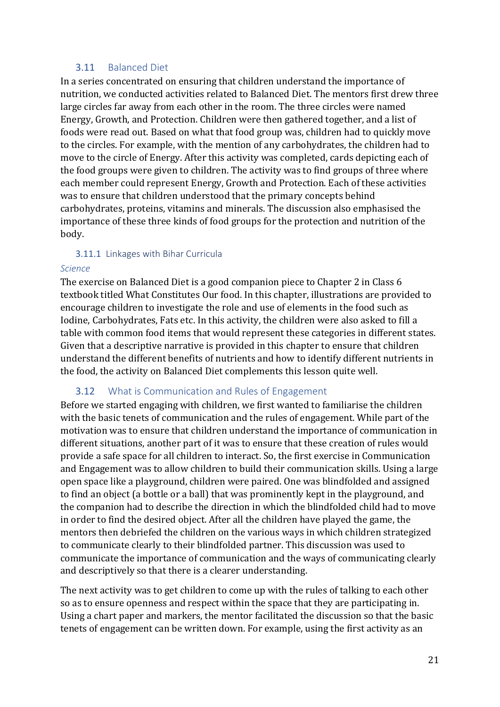#### 3.11 Balanced Diet

In a series concentrated on ensuring that children understand the importance of nutrition, we conducted activities related to Balanced Diet. The mentors first drew three large circles far away from each other in the room. The three circles were named Energy, Growth, and Protection. Children were then gathered together, and a list of foods were read out. Based on what that food group was, children had to quickly move to the circles. For example, with the mention of any carbohydrates, the children had to move to the circle of Energy. After this activity was completed, cards depicting each of the food groups were given to children. The activity was to find groups of three where each member could represent Energy, Growth and Protection. Each of these activities was to ensure that children understood that the primary concepts behind carbohydrates, proteins, vitamins and minerals. The discussion also emphasised the importance of these three kinds of food groups for the protection and nutrition of the body.

#### 3.11.1 Linkages with Bihar Curricula

#### *Science*

The exercise on Balanced Diet is a good companion piece to Chapter 2 in Class 6 textbook titled What Constitutes Our food. In this chapter, illustrations are provided to encourage children to investigate the role and use of elements in the food such as Iodine, Carbohydrates, Fats etc. In this activity, the children were also asked to fill a table with common food items that would represent these categories in different states. Given that a descriptive narrative is provided in this chapter to ensure that children understand the different benefits of nutrients and how to identify different nutrients in the food, the activity on Balanced Diet complements this lesson quite well.

# 3.12 What is Communication and Rules of Engagement

Before we started engaging with children, we first wanted to familiarise the children with the basic tenets of communication and the rules of engagement. While part of the motivation was to ensure that children understand the importance of communication in different situations, another part of it was to ensure that these creation of rules would provide a safe space for all children to interact. So, the first exercise in Communication and Engagement was to allow children to build their communication skills. Using a large open space like a playground, children were paired. One was blindfolded and assigned to find an object (a bottle or a ball) that was prominently kept in the playground, and the companion had to describe the direction in which the blindfolded child had to move in order to find the desired object. After all the children have played the game, the mentors then debriefed the children on the various ways in which children strategized to communicate clearly to their blindfolded partner. This discussion was used to communicate the importance of communication and the ways of communicating clearly and descriptively so that there is a clearer understanding.

The next activity was to get children to come up with the rules of talking to each other so as to ensure openness and respect within the space that they are participating in. Using a chart paper and markers, the mentor facilitated the discussion so that the basic tenets of engagement can be written down. For example, using the first activity as an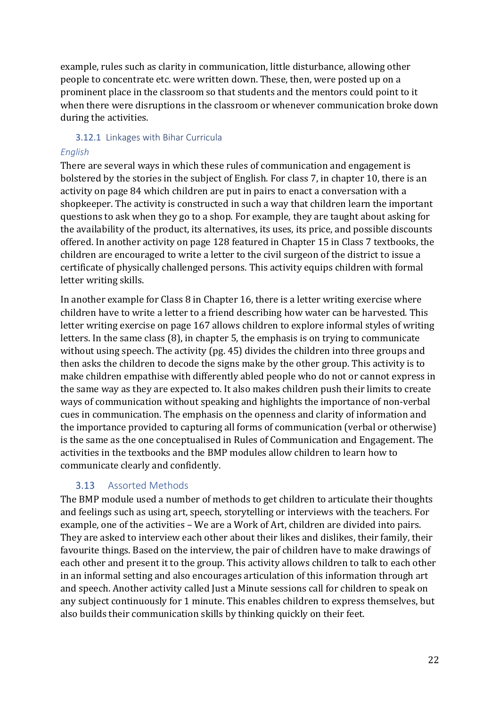example, rules such as clarity in communication, little disturbance, allowing other people to concentrate etc. were written down. These, then, were posted up on a prominent place in the classroom so that students and the mentors could point to it when there were disruptions in the classroom or whenever communication broke down during the activities.

#### 3.12.1 Linkages with Bihar Curricula

### *English*

There are several ways in which these rules of communication and engagement is bolstered by the stories in the subject of English. For class 7, in chapter 10, there is an activity on page 84 which children are put in pairs to enact a conversation with a shopkeeper. The activity is constructed in such a way that children learn the important questions to ask when they go to a shop. For example, they are taught about asking for the availability of the product, its alternatives, its uses, its price, and possible discounts offered. In another activity on page 128 featured in Chapter 15 in Class 7 textbooks, the children are encouraged to write a letter to the civil surgeon of the district to issue a certificate of physically challenged persons. This activity equips children with formal letter writing skills.

In another example for Class 8 in Chapter 16, there is a letter writing exercise where children have to write a letter to a friend describing how water can be harvested. This letter writing exercise on page 167 allows children to explore informal styles of writing letters. In the same class (8), in chapter 5, the emphasis is on trying to communicate without using speech. The activity (pg. 45) divides the children into three groups and then asks the children to decode the signs make by the other group. This activity is to make children empathise with differently abled people who do not or cannot express in the same way as they are expected to. It also makes children push their limits to create ways of communication without speaking and highlights the importance of non-verbal cues in communication. The emphasis on the openness and clarity of information and the importance provided to capturing all forms of communication (verbal or otherwise) is the same as the one conceptualised in Rules of Communication and Engagement. The activities in the textbooks and the BMP modules allow children to learn how to communicate clearly and confidently.

# 3.13 Assorted Methods

The BMP module used a number of methods to get children to articulate their thoughts and feelings such as using art, speech, storytelling or interviews with the teachers. For example, one of the activities – We are a Work of Art, children are divided into pairs. They are asked to interview each other about their likes and dislikes, their family, their favourite things. Based on the interview, the pair of children have to make drawings of each other and present it to the group. This activity allows children to talk to each other in an informal setting and also encourages articulation of this information through art and speech. Another activity called Just a Minute sessions call for children to speak on any subject continuously for 1 minute. This enables children to express themselves, but also builds their communication skills by thinking quickly on their feet.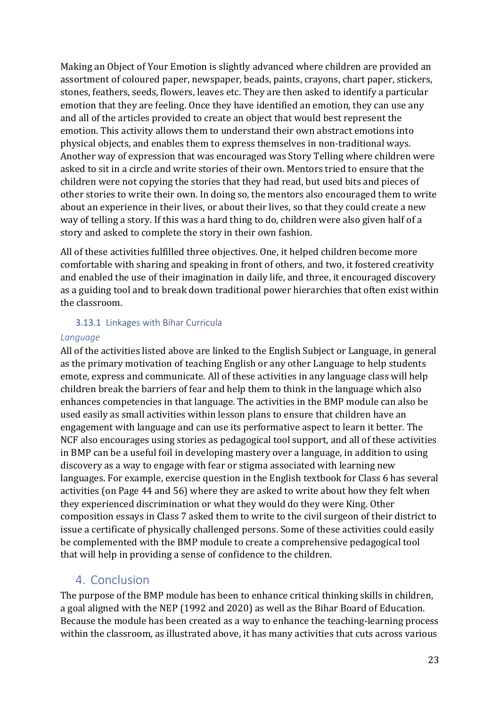Making an Object of Your Emotion is slightly advanced where children are provided an assortment of coloured paper, newspaper, beads, paints, crayons, chart paper, stickers, stones, feathers, seeds, flowers, leaves etc. They are then asked to identify a particular emotion that they are feeling. Once they have identified an emotion, they can use any and all of the articles provided to create an object that would best represent the emotion. This activity allows them to understand their own abstract emotions into physical objects, and enables them to express themselves in non-traditional ways. Another way of expression that was encouraged was Story Telling where children were asked to sit in a circle and write stories of their own. Mentors tried to ensure that the children were not copying the stories that they had read, but used bits and pieces of other stories to write their own. In doing so, the mentors also encouraged them to write about an experience in their lives, or about their lives, so that they could create a new way of telling a story. If this was a hard thing to do, children were also given half of a story and asked to complete the story in their own fashion.

All of these activities fulfilled three objectives. One, it helped children become more comfortable with sharing and speaking in front of others, and two, it fostered creativity and enabled the use of their imagination in daily life, and three, it encouraged discovery as a guiding tool and to break down traditional power hierarchies that often exist within the classroom.

#### 3.13.1 Linkages with Bihar Curricula

#### *Language*

All of the activities listed above are linked to the English Subject or Language, in general as the primary motivation of teaching English or any other Language to help students emote, express and communicate. All of these activities in any language class will help children break the barriers of fear and help them to think in the language which also enhances competencies in that language. The activities in the BMP module can also be used easily as small activities within lesson plans to ensure that children have an engagement with language and can use its performative aspect to learn it better. The NCF also encourages using stories as pedagogical tool support, and all of these activities in BMP can be a useful foil in developing mastery over a language, in addition to using discovery as a way to engage with fear or stigma associated with learning new languages. For example, exercise question in the English textbook for Class 6 has several activities (on Page 44 and 56) where they are asked to write about how they felt when they experienced discrimination or what they would do they were King. Other composition essays in Class 7 asked them to write to the civil surgeon of their district to issue a certificate of physically challenged persons. Some of these activities could easily be complemented with the BMP module to create a comprehensive pedagogical tool that will help in providing a sense of confidence to the children.

# 4. Conclusion

The purpose of the BMP module has been to enhance critical thinking skills in children, a goal aligned with the NEP (1992 and 2020) as well as the Bihar Board of Education. Because the module has been created as a way to enhance the teaching-learning process within the classroom, as illustrated above, it has many activities that cuts across various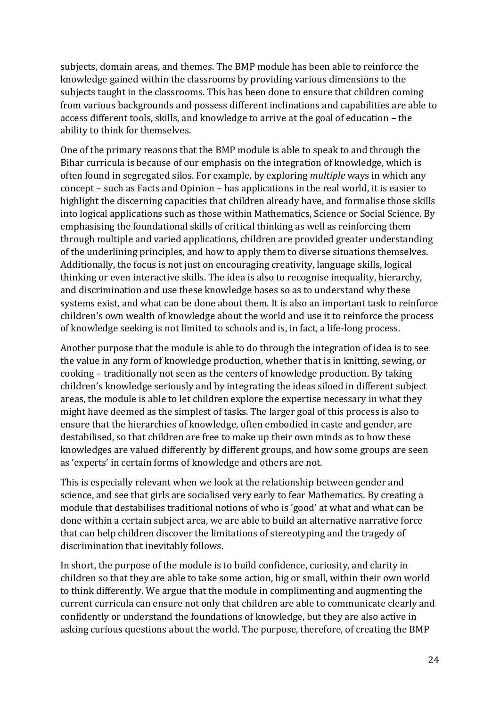subjects, domain areas, and themes. The BMP module has been able to reinforce the knowledge gained within the classrooms by providing various dimensions to the subjects taught in the classrooms. This has been done to ensure that children coming from various backgrounds and possess different inclinations and capabilities are able to access different tools, skills, and knowledge to arrive at the goal of education – the ability to think for themselves.

One of the primary reasons that the BMP module is able to speak to and through the Bihar curricula is because of our emphasis on the integration of knowledge, which is often found in segregated silos. For example, by exploring *multiple* ways in which any concept – such as Facts and Opinion – has applications in the real world, it is easier to highlight the discerning capacities that children already have, and formalise those skills into logical applications such as those within Mathematics, Science or Social Science. By emphasising the foundational skills of critical thinking as well as reinforcing them through multiple and varied applications, children are provided greater understanding of the underlining principles, and how to apply them to diverse situations themselves. Additionally, the focus is not just on encouraging creativity, language skills, logical thinking or even interactive skills. The idea is also to recognise inequality, hierarchy, and discrimination and use these knowledge bases so as to understand why these systems exist, and what can be done about them. It is also an important task to reinforce children's own wealth of knowledge about the world and use it to reinforce the process of knowledge seeking is not limited to schools and is, in fact, a life-long process.

Another purpose that the module is able to do through the integration of idea is to see the value in any form of knowledge production, whether that is in knitting, sewing, or cooking – traditionally not seen as the centers of knowledge production. By taking children's knowledge seriously and by integrating the ideas siloed in different subject areas, the module is able to let children explore the expertise necessary in what they might have deemed as the simplest of tasks. The larger goal of this process is also to ensure that the hierarchies of knowledge, often embodied in caste and gender, are destabilised, so that children are free to make up their own minds as to how these knowledges are valued differently by different groups, and how some groups are seen as 'experts' in certain forms of knowledge and others are not.

This is especially relevant when we look at the relationship between gender and science, and see that girls are socialised very early to fear Mathematics. By creating a module that destabilises traditional notions of who is 'good' at what and what can be done within a certain subject area, we are able to build an alternative narrative force that can help children discover the limitations of stereotyping and the tragedy of discrimination that inevitably follows.

In short, the purpose of the module is to build confidence, curiosity, and clarity in children so that they are able to take some action, big or small, within their own world to think differently. We argue that the module in complimenting and augmenting the current curricula can ensure not only that children are able to communicate clearly and confidently or understand the foundations of knowledge, but they are also active in asking curious questions about the world. The purpose, therefore, of creating the BMP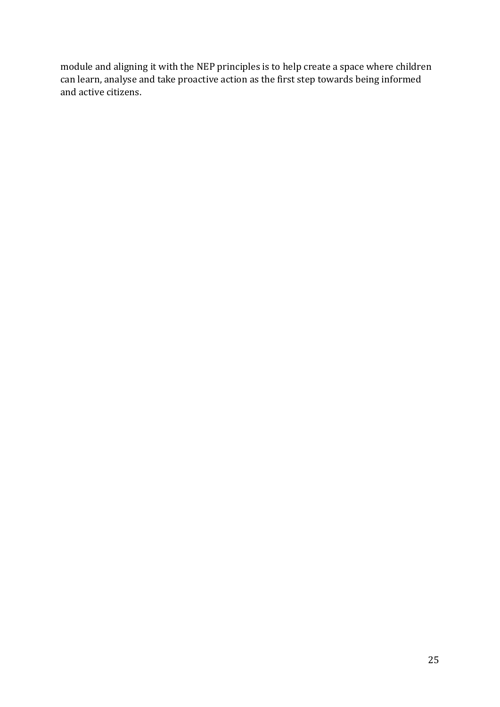module and aligning it with the NEP principles is to help create a space where children can learn, analyse and take proactive action as the first step towards being informed and active citizens.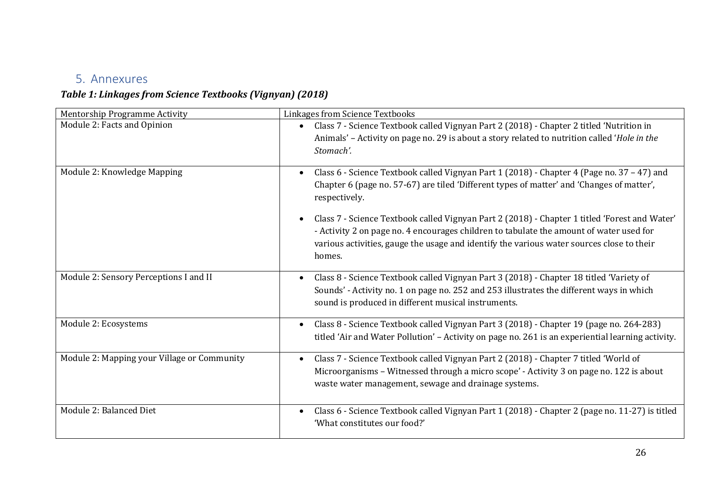# 5. Annexures

# *Table 1: Linkages from Science Textbooks (Vignyan) (2018)*

| <b>Mentorship Programme Activity</b>        | Linkages from Science Textbooks                                                                                                                                                                                                                                                                 |
|---------------------------------------------|-------------------------------------------------------------------------------------------------------------------------------------------------------------------------------------------------------------------------------------------------------------------------------------------------|
| Module 2: Facts and Opinion                 | Class 7 - Science Textbook called Vignyan Part 2 (2018) - Chapter 2 titled 'Nutrition in<br>$\bullet$<br>Animals' - Activity on page no. 29 is about a story related to nutrition called 'Hole in the<br>Stomach'.                                                                              |
| Module 2: Knowledge Mapping                 | Class 6 - Science Textbook called Vignyan Part 1 (2018) - Chapter 4 (Page no. 37 - 47) and<br>Chapter 6 (page no. 57-67) are tiled 'Different types of matter' and 'Changes of matter',<br>respectively.                                                                                        |
|                                             | Class 7 - Science Textbook called Vignyan Part 2 (2018) - Chapter 1 titled 'Forest and Water'<br>- Activity 2 on page no. 4 encourages children to tabulate the amount of water used for<br>various activities, gauge the usage and identify the various water sources close to their<br>homes. |
| Module 2: Sensory Perceptions I and II      | Class 8 - Science Textbook called Vignyan Part 3 (2018) - Chapter 18 titled 'Variety of<br>Sounds' - Activity no. 1 on page no. 252 and 253 illustrates the different ways in which<br>sound is produced in different musical instruments.                                                      |
| Module 2: Ecosystems                        | Class 8 - Science Textbook called Vignyan Part 3 (2018) - Chapter 19 (page no. 264-283)<br>titled 'Air and Water Pollution' - Activity on page no. 261 is an experiential learning activity.                                                                                                    |
| Module 2: Mapping your Village or Community | Class 7 - Science Textbook called Vignyan Part 2 (2018) - Chapter 7 titled 'World of<br>Microorganisms - Witnessed through a micro scope' - Activity 3 on page no. 122 is about<br>waste water management, sewage and drainage systems.                                                         |
| Module 2: Balanced Diet                     | Class 6 - Science Textbook called Vignyan Part 1 (2018) - Chapter 2 (page no. 11-27) is titled<br>$\bullet$<br>'What constitutes our food?'                                                                                                                                                     |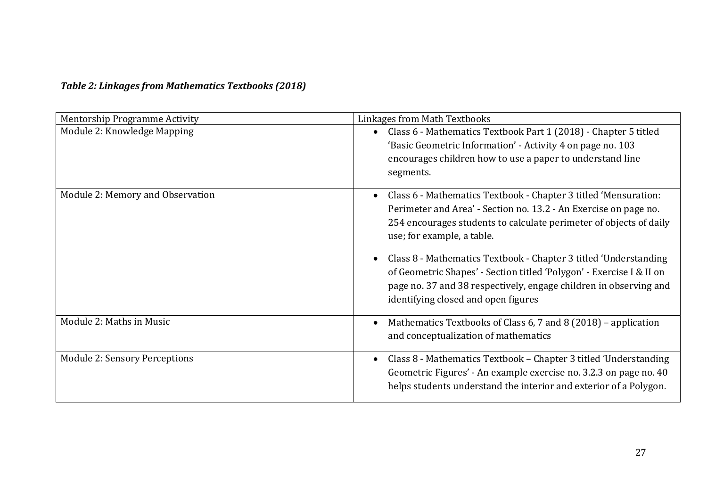# *Table 2: Linkages from Mathematics Textbooks (2018)*

| <b>Mentorship Programme Activity</b> | Linkages from Math Textbooks                                                                                                                                                                                                                                                                                                                                                                                                                                                                    |
|--------------------------------------|-------------------------------------------------------------------------------------------------------------------------------------------------------------------------------------------------------------------------------------------------------------------------------------------------------------------------------------------------------------------------------------------------------------------------------------------------------------------------------------------------|
| Module 2: Knowledge Mapping          | Class 6 - Mathematics Textbook Part 1 (2018) - Chapter 5 titled<br>'Basic Geometric Information' - Activity 4 on page no. 103<br>encourages children how to use a paper to understand line<br>segments.                                                                                                                                                                                                                                                                                         |
| Module 2: Memory and Observation     | Class 6 - Mathematics Textbook - Chapter 3 titled 'Mensuration:<br>Perimeter and Area' - Section no. 13.2 - An Exercise on page no.<br>254 encourages students to calculate perimeter of objects of daily<br>use; for example, a table.<br>Class 8 - Mathematics Textbook - Chapter 3 titled 'Understanding<br>of Geometric Shapes' - Section titled 'Polygon' - Exercise I & II on<br>page no. 37 and 38 respectively, engage children in observing and<br>identifying closed and open figures |
| Module 2: Maths in Music             | Mathematics Textbooks of Class 6, 7 and 8 (2018) - application<br>and conceptualization of mathematics                                                                                                                                                                                                                                                                                                                                                                                          |
| <b>Module 2: Sensory Perceptions</b> | Class 8 - Mathematics Textbook – Chapter 3 titled 'Understanding<br>Geometric Figures' - An example exercise no. 3.2.3 on page no. 40<br>helps students understand the interior and exterior of a Polygon.                                                                                                                                                                                                                                                                                      |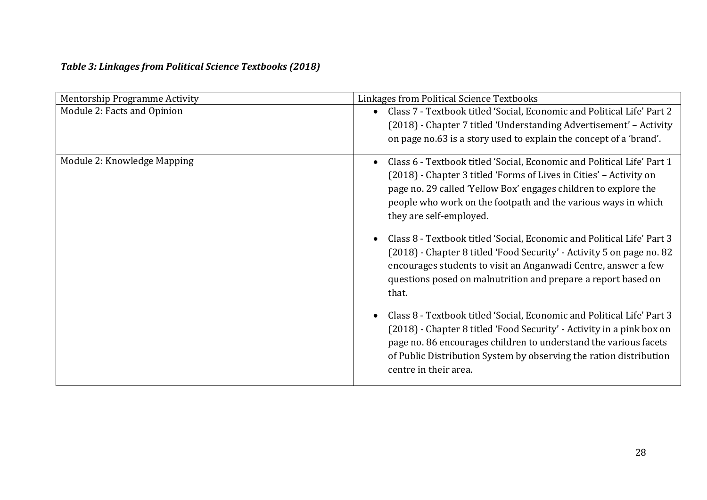# *Table 3: Linkages from Political Science Textbooks (2018)*

| Mentorship Programme Activity | Linkages from Political Science Textbooks                                                                                                                                                                                                                                                                                       |
|-------------------------------|---------------------------------------------------------------------------------------------------------------------------------------------------------------------------------------------------------------------------------------------------------------------------------------------------------------------------------|
| Module 2: Facts and Opinion   | Class 7 - Textbook titled 'Social, Economic and Political Life' Part 2<br>$\bullet$<br>(2018) - Chapter 7 titled 'Understanding Advertisement' - Activity<br>on page no.63 is a story used to explain the concept of a 'brand'.                                                                                                 |
| Module 2: Knowledge Mapping   | Class 6 - Textbook titled 'Social, Economic and Political Life' Part 1<br>$\bullet$<br>(2018) - Chapter 3 titled 'Forms of Lives in Cities' - Activity on<br>page no. 29 called 'Yellow Box' engages children to explore the<br>people who work on the footpath and the various ways in which<br>they are self-employed.        |
|                               | Class 8 - Textbook titled 'Social, Economic and Political Life' Part 3<br>(2018) - Chapter 8 titled 'Food Security' - Activity 5 on page no. 82<br>encourages students to visit an Anganwadi Centre, answer a few<br>questions posed on malnutrition and prepare a report based on<br>that.                                     |
|                               | Class 8 - Textbook titled 'Social, Economic and Political Life' Part 3<br>$\bullet$<br>(2018) - Chapter 8 titled 'Food Security' - Activity in a pink box on<br>page no. 86 encourages children to understand the various facets<br>of Public Distribution System by observing the ration distribution<br>centre in their area. |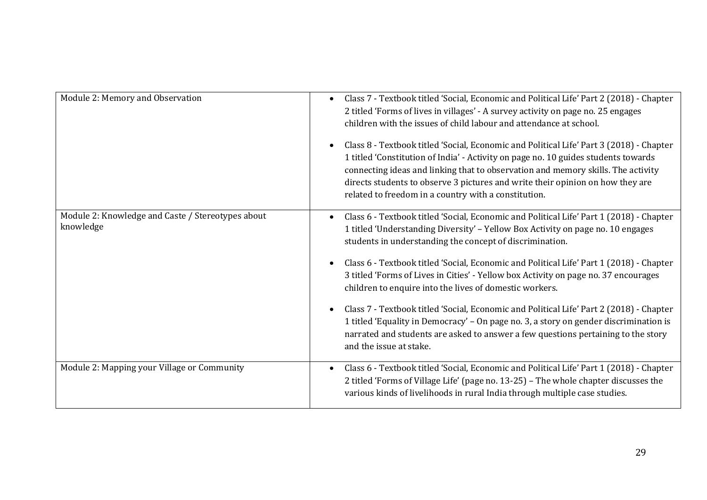| Module 2: Memory and Observation                               | Class 7 - Textbook titled 'Social, Economic and Political Life' Part 2 (2018) - Chapter<br>2 titled 'Forms of lives in villages' - A survey activity on page no. 25 engages<br>children with the issues of child labour and attendance at school.<br>Class 8 - Textbook titled 'Social, Economic and Political Life' Part 3 (2018) - Chapter<br>1 titled 'Constitution of India' - Activity on page no. 10 guides students towards<br>connecting ideas and linking that to observation and memory skills. The activity<br>directs students to observe 3 pictures and write their opinion on how they are<br>related to freedom in a country with a constitution.                                                                                                                        |
|----------------------------------------------------------------|-----------------------------------------------------------------------------------------------------------------------------------------------------------------------------------------------------------------------------------------------------------------------------------------------------------------------------------------------------------------------------------------------------------------------------------------------------------------------------------------------------------------------------------------------------------------------------------------------------------------------------------------------------------------------------------------------------------------------------------------------------------------------------------------|
| Module 2: Knowledge and Caste / Stereotypes about<br>knowledge | Class 6 - Textbook titled 'Social, Economic and Political Life' Part 1 (2018) - Chapter<br>1 titled 'Understanding Diversity' - Yellow Box Activity on page no. 10 engages<br>students in understanding the concept of discrimination.<br>Class 6 - Textbook titled 'Social, Economic and Political Life' Part 1 (2018) - Chapter<br>3 titled 'Forms of Lives in Cities' - Yellow box Activity on page no. 37 encourages<br>children to enquire into the lives of domestic workers.<br>Class 7 - Textbook titled 'Social, Economic and Political Life' Part 2 (2018) - Chapter<br>1 titled 'Equality in Democracy' - On page no. 3, a story on gender discrimination is<br>narrated and students are asked to answer a few questions pertaining to the story<br>and the issue at stake. |
| Module 2: Mapping your Village or Community                    | Class 6 - Textbook titled 'Social, Economic and Political Life' Part 1 (2018) - Chapter<br>2 titled 'Forms of Village Life' (page no. 13-25) - The whole chapter discusses the<br>various kinds of livelihoods in rural India through multiple case studies.                                                                                                                                                                                                                                                                                                                                                                                                                                                                                                                            |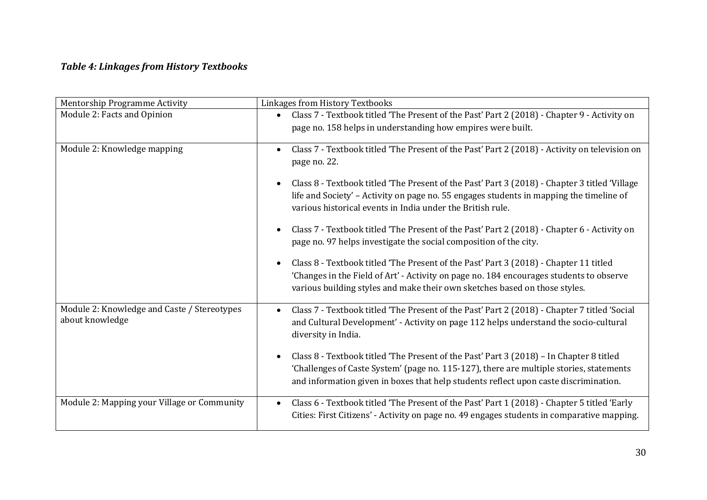# *Table 4: Linkages from History Textbooks*

| Mentorship Programme Activity                                  | Linkages from History Textbooks                                                                                                                                                                                                                                            |
|----------------------------------------------------------------|----------------------------------------------------------------------------------------------------------------------------------------------------------------------------------------------------------------------------------------------------------------------------|
| Module 2: Facts and Opinion                                    | Class 7 - Textbook titled 'The Present of the Past' Part 2 (2018) - Chapter 9 - Activity on<br>$\bullet$<br>page no. 158 helps in understanding how empires were built.                                                                                                    |
| Module 2: Knowledge mapping                                    | Class 7 - Textbook titled 'The Present of the Past' Part 2 (2018) - Activity on television on<br>page no. 22.                                                                                                                                                              |
|                                                                | Class 8 - Textbook titled 'The Present of the Past' Part 3 (2018) - Chapter 3 titled 'Village<br>life and Society' - Activity on page no. 55 engages students in mapping the timeline of<br>various historical events in India under the British rule.                     |
|                                                                | Class 7 - Textbook titled 'The Present of the Past' Part 2 (2018) - Chapter 6 - Activity on<br>page no. 97 helps investigate the social composition of the city.                                                                                                           |
|                                                                | Class 8 - Textbook titled 'The Present of the Past' Part 3 (2018) - Chapter 11 titled<br>'Changes in the Field of Art' - Activity on page no. 184 encourages students to observe<br>various building styles and make their own sketches based on those styles.             |
| Module 2: Knowledge and Caste / Stereotypes<br>about knowledge | Class 7 - Textbook titled 'The Present of the Past' Part 2 (2018) - Chapter 7 titled 'Social<br>and Cultural Development' - Activity on page 112 helps understand the socio-cultural<br>diversity in India.                                                                |
|                                                                | Class 8 - Textbook titled 'The Present of the Past' Part 3 (2018) - In Chapter 8 titled<br>'Challenges of Caste System' (page no. 115-127), there are multiple stories, statements<br>and information given in boxes that help students reflect upon caste discrimination. |
| Module 2: Mapping your Village or Community                    | Class 6 - Textbook titled 'The Present of the Past' Part 1 (2018) - Chapter 5 titled 'Early<br>$\bullet$<br>Cities: First Citizens' - Activity on page no. 49 engages students in comparative mapping.                                                                     |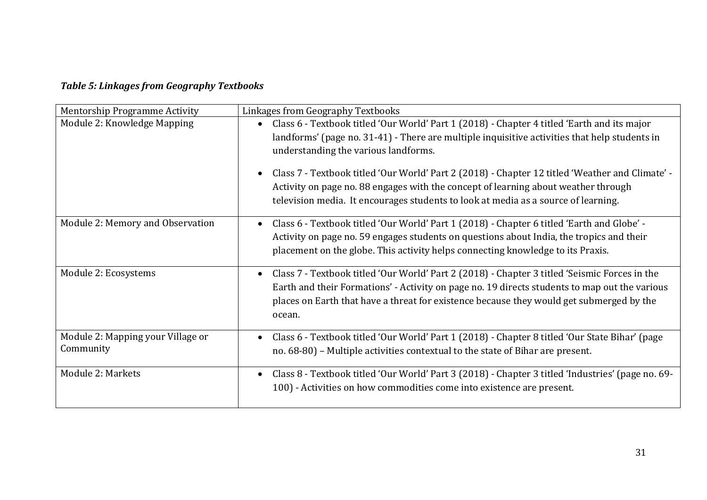# *Table 5: Linkages from Geography Textbooks*

| <b>Mentorship Programme Activity</b>           | Linkages from Geography Textbooks                                                                                                                                                                                                                                                                                                                                                                                                                                                                                   |
|------------------------------------------------|---------------------------------------------------------------------------------------------------------------------------------------------------------------------------------------------------------------------------------------------------------------------------------------------------------------------------------------------------------------------------------------------------------------------------------------------------------------------------------------------------------------------|
| Module 2: Knowledge Mapping                    | Class 6 - Textbook titled 'Our World' Part 1 (2018) - Chapter 4 titled 'Earth and its major<br>landforms' (page no. 31-41) - There are multiple inquisitive activities that help students in<br>understanding the various landforms.<br>Class 7 - Textbook titled 'Our World' Part 2 (2018) - Chapter 12 titled 'Weather and Climate' -<br>Activity on page no. 88 engages with the concept of learning about weather through<br>television media. It encourages students to look at media as a source of learning. |
| Module 2: Memory and Observation               | Class 6 - Textbook titled 'Our World' Part 1 (2018) - Chapter 6 titled 'Earth and Globe' -<br>Activity on page no. 59 engages students on questions about India, the tropics and their<br>placement on the globe. This activity helps connecting knowledge to its Praxis.                                                                                                                                                                                                                                           |
| Module 2: Ecosystems                           | Class 7 - Textbook titled 'Our World' Part 2 (2018) - Chapter 3 titled 'Seismic Forces in the<br>$\bullet$<br>Earth and their Formations' - Activity on page no. 19 directs students to map out the various<br>places on Earth that have a threat for existence because they would get submerged by the<br>ocean.                                                                                                                                                                                                   |
| Module 2: Mapping your Village or<br>Community | Class 6 - Textbook titled 'Our World' Part 1 (2018) - Chapter 8 titled 'Our State Bihar' (page<br>no. 68-80) - Multiple activities contextual to the state of Bihar are present.                                                                                                                                                                                                                                                                                                                                    |
| Module 2: Markets                              | Class 8 - Textbook titled 'Our World' Part 3 (2018) - Chapter 3 titled 'Industries' (page no. 69-<br>$\bullet$<br>100) - Activities on how commodities come into existence are present.                                                                                                                                                                                                                                                                                                                             |